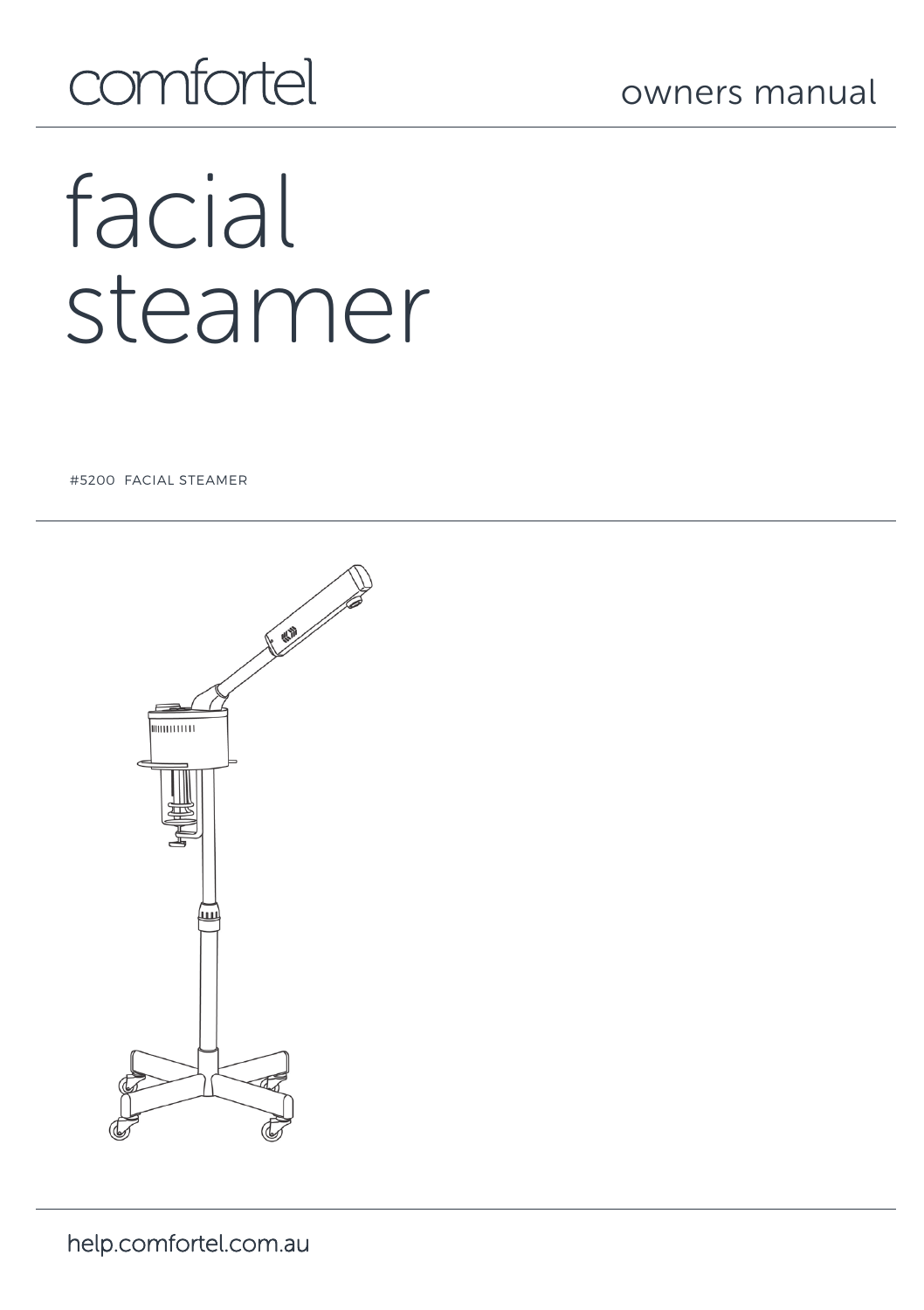## comfortel

# facial steamer

#5200 FACIAL STEAMER

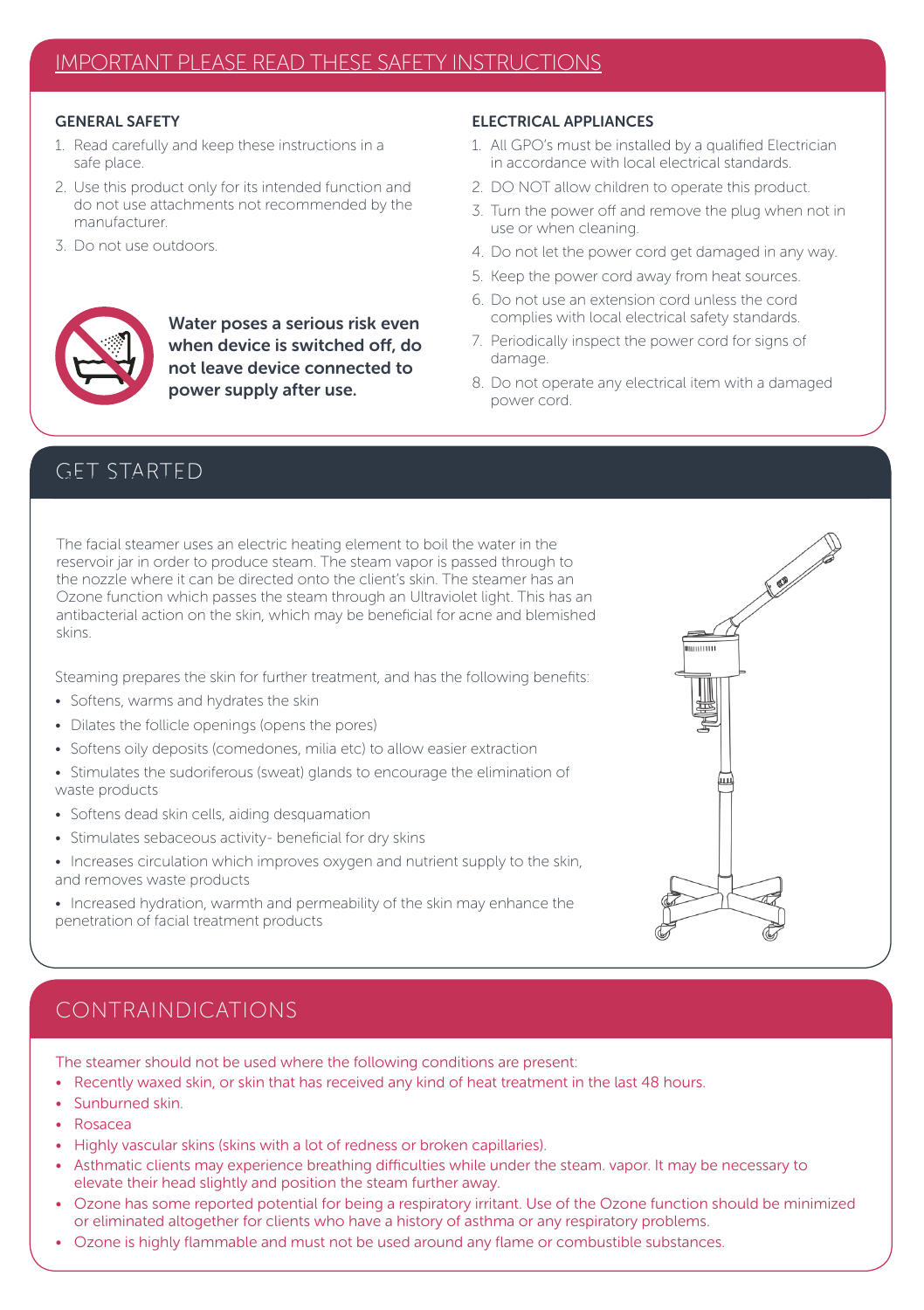#### GENERAL SAFETY

- 1. Read carefully and keep these instructions in a safe place.
- 2. Use this product only for its intended function and do not use attachments not recommended by the manufacturer.

Water poses a serious risk even when device is switched off, do not leave device connected to power supply after use.

3. Do not use outdoors.

#### ELECTRICAL APPLIANCES

- 1. All GPO's must be installed by a qualified Electrician in accordance with local electrical standards.
- 2. DO NOT allow children to operate this product.
- 3. Turn the power off and remove the plug when not in use or when cleaning.
- 4. Do not let the power cord get damaged in any way.
- 5. Keep the power cord away from heat sources.
- 6. Do not use an extension cord unless the cord complies with local electrical safety standards.
- 7. Periodically inspect the power cord for signs of damage.
- 8. Do not operate any electrical item with a damaged power cord.

#### GET STARTED

The facial steamer uses an electric heating element to boil the water in the reservoir jar in order to produce steam. The steam vapor is passed through to the nozzle where it can be directed onto the client's skin. The steamer has an Ozone function which passes the steam through an Ultraviolet light. This has an antibacterial action on the skin, which may be beneficial for acne and blemished skins.

Steaming prepares the skin for further treatment, and has the following benefits:

- Softens, warms and hydrates the skin
- Dilates the follicle openings (opens the pores)
- Softens oily deposits (comedones, milia etc) to allow easier extraction
- Stimulates the sudoriferous (sweat) glands to encourage the elimination of waste products
- Softens dead skin cells, aiding desquamation
- Stimulates sebaceous activity- beneficial for dry skins
- Increases circulation which improves oxygen and nutrient supply to the skin, and removes waste products
- Increased hydration, warmth and permeability of the skin may enhance the penetration of facial treatment products



### CONTRAINDICATIONS

The steamer should not be used where the following conditions are present:

- Recently waxed skin, or skin that has received any kind of heat treatment in the last 48 hours.
- Sunburned skin.
- Rosacea
- Highly vascular skins (skins with a lot of redness or broken capillaries).
- Asthmatic clients may experience breathing difficulties while under the steam. vapor. It may be necessary to elevate their head slightly and position the steam further away.
- Ozone has some reported potential for being a respiratory irritant. Use of the Ozone function should be minimized or eliminated altogether for clients who have a history of asthma or any respiratory problems.
- Ozone is highly flammable and must not be used around any flame or combustible substances.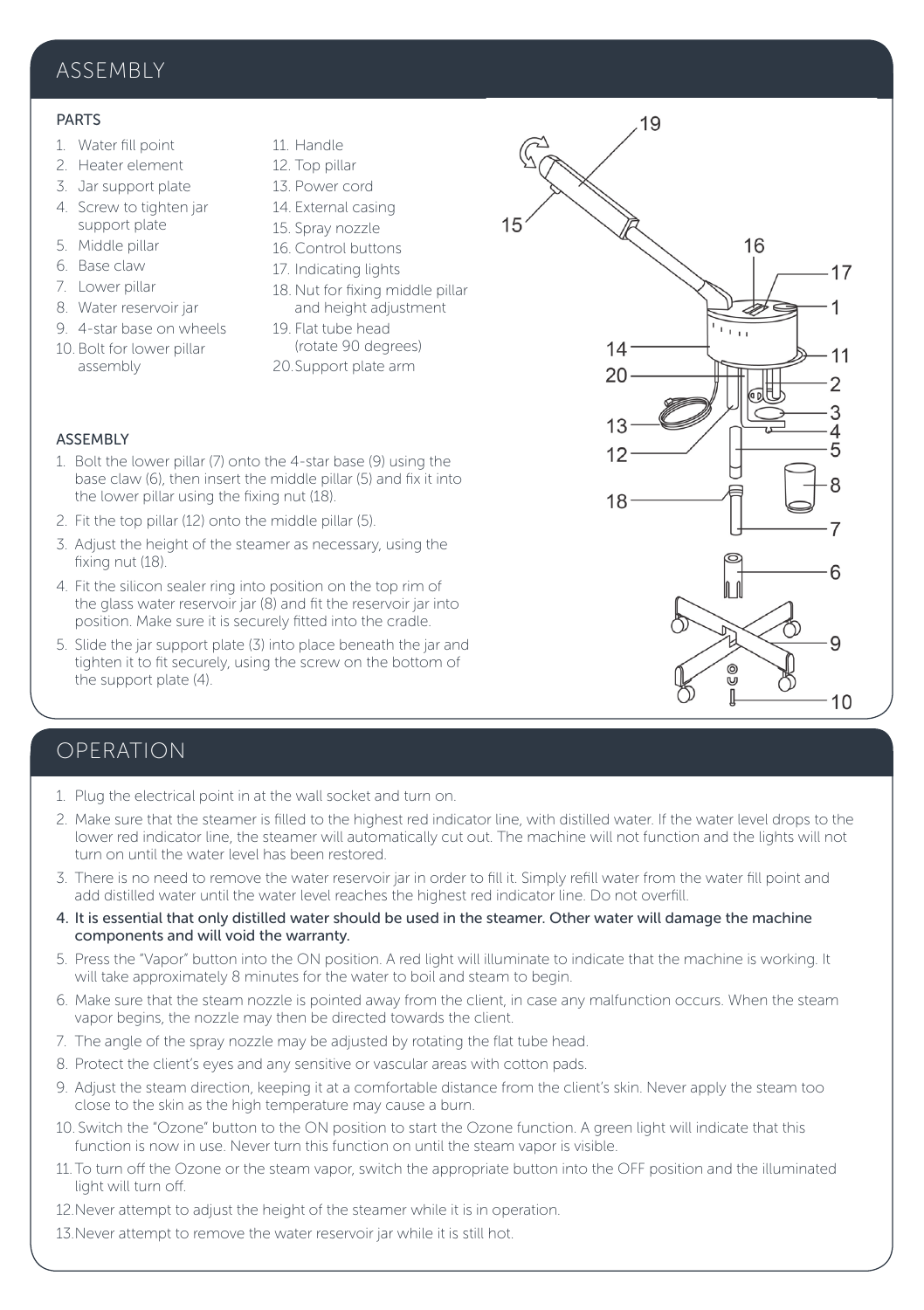#### ASSEMBLY

#### PARTS

- 1. Water fill point
- 2. Heater element
- 3. Jar support plate
- 4. Screw to tighten jar support plate
- 5. Middle pillar
- 6. Base claw
- 7. Lower pillar
- 8. Water reservoir jar
- 9. 4-star base on wheels 10. Bolt for lower pillar
- assembly
- 11. Handle
- 12. Top pillar
- 13. Power cord
- 14. External casing
- 15. Spray nozzle
- 16. Control buttons
- 17. Indicating lights
- 18. Nut for fixing middle pillar and height adjustment
- 19. Flat tube head (rotate 90 degrees) 20.Support plate arm



 $15$ 

19



#### **ASSEMBLY**

- 1. Bolt the lower pillar (7) onto the 4-star base (9) using the base claw (6), then insert the middle pillar (5) and fix it into the lower pillar using the fixing nut (18).
- 2. Fit the top pillar (12) onto the middle pillar (5).
- 3. Adjust the height of the steamer as necessary, using the fixing nut (18).
- 4. Fit the silicon sealer ring into position on the top rim of the glass water reservoir jar (8) and fit the reservoir jar into position. Make sure it is securely fitted into the cradle.
- 5. Slide the jar support plate (3) into place beneath the jar and tighten it to fit securely, using the screw on the bottom of the support plate (4).

#### OPERATION

- 1. Plug the electrical point in at the wall socket and turn on.
- 2. Make sure that the steamer is filled to the highest red indicator line, with distilled water. If the water level drops to the lower red indicator line, the steamer will automatically cut out. The machine will not function and the lights will not turn on until the water level has been restored.
- 3. There is no need to remove the water reservoir jar in order to fill it. Simply refill water from the water fill point and add distilled water until the water level reaches the highest red indicator line. Do not overfill.
- 4. It is essential that only distilled water should be used in the steamer. Other water will damage the machine components and will void the warranty.
- 5. Press the "Vapor" button into the ON position. A red light will illuminate to indicate that the machine is working. It will take approximately 8 minutes for the water to boil and steam to begin.
- 6. Make sure that the steam nozzle is pointed away from the client, in case any malfunction occurs. When the steam vapor begins, the nozzle may then be directed towards the client.
- 7. The angle of the spray nozzle may be adjusted by rotating the flat tube head.
- 8. Protect the client's eyes and any sensitive or vascular areas with cotton pads.
- 9. Adjust the steam direction, keeping it at a comfortable distance from the client's skin. Never apply the steam too close to the skin as the high temperature may cause a burn.
- 10. Switch the "Ozone" button to the ON position to start the Ozone function. A green light will indicate that this function is now in use. Never turn this function on until the steam vapor is visible.
- 11. To turn off the Ozone or the steam vapor, switch the appropriate button into the OFF position and the illuminated light will turn off.
- 12.Never attempt to adjust the height of the steamer while it is in operation.
- 13.Never attempt to remove the water reservoir jar while it is still hot.